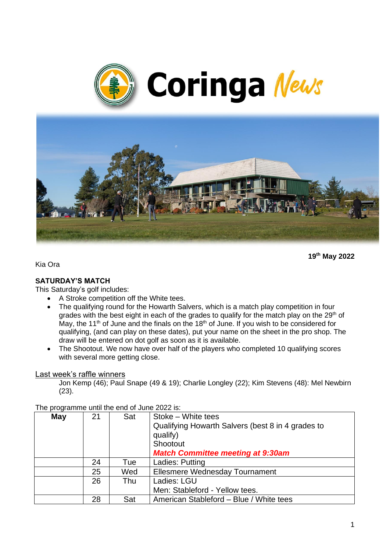



**19th May 2022**

Kia Ora

#### **SATURDAY'S MATCH**

This Saturday's golf includes:

- A Stroke competition off the White tees.
- The qualifying round for the Howarth Salvers, which is a match play competition in four grades with the best eight in each of the grades to qualify for the match play on the 29<sup>th</sup> of May, the 11<sup>th</sup> of June and the finals on the 18<sup>th</sup> of June. If you wish to be considered for qualifying, (and can play on these dates), put your name on the sheet in the pro shop. The draw will be entered on dot golf as soon as it is available.
- The Shootout. We now have over half of the players who completed 10 qualifying scores with several more getting close.

#### Last week's raffle winners

Jon Kemp (46); Paul Snape (49 & 19); Charlie Longley (22); Kim Stevens (48): Mel Newbirn (23).

| May | 21 | Sat | Stoke - White tees<br>Qualifying Howarth Salvers (best 8 in 4 grades to<br>qualify)<br>Shootout<br><b>Match Committee meeting at 9:30am</b> |
|-----|----|-----|---------------------------------------------------------------------------------------------------------------------------------------------|
|     | 24 | Tue | Ladies: Putting                                                                                                                             |
|     | 25 | Wed | Ellesmere Wednesday Tournament                                                                                                              |
|     | 26 | Thu | Ladies: LGU                                                                                                                                 |
|     |    |     | Men: Stableford - Yellow tees.                                                                                                              |
|     | 28 | Sat | American Stableford - Blue / White tees                                                                                                     |

The programme until the end of June 2022 is: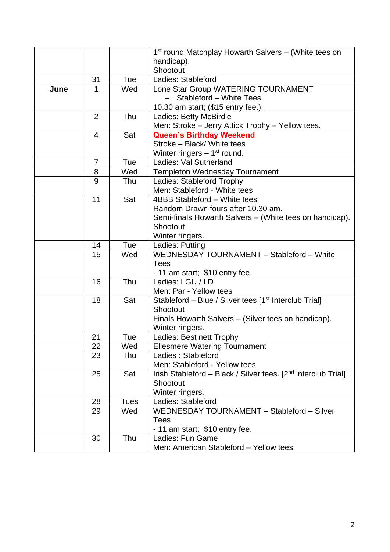|      |                |             | 1 <sup>st</sup> round Matchplay Howarth Salvers - (White tees on                      |  |
|------|----------------|-------------|---------------------------------------------------------------------------------------|--|
|      |                |             | handicap).                                                                            |  |
|      |                |             | Shootout                                                                              |  |
|      | 31             | Tue         | Ladies: Stableford                                                                    |  |
| June | 1              | Wed         | Lone Star Group WATERING TOURNAMENT                                                   |  |
|      |                |             | Stableford - White Tees.                                                              |  |
|      |                |             | 10.30 am start; (\$15 entry fee.).                                                    |  |
|      | $\overline{2}$ | Thu         | Ladies: Betty McBirdie                                                                |  |
|      |                |             | Men: Stroke - Jerry Attick Trophy - Yellow tees.                                      |  |
|      | $\overline{4}$ | Sat         | <b>Queen's Birthday Weekend</b>                                                       |  |
|      |                |             | Stroke - Black/ White tees                                                            |  |
|      |                |             | Winter ringers $-1st$ round.                                                          |  |
|      | $\overline{7}$ | Tue         | Ladies: Val Sutherland                                                                |  |
|      | 8              | Wed         | <b>Templeton Wednesday Tournament</b>                                                 |  |
|      | 9              | Thu         | Ladies: Stableford Trophy                                                             |  |
|      |                |             | Men: Stableford - White tees                                                          |  |
|      | 11             | Sat         | 4BBB Stableford - White tees                                                          |  |
|      |                |             | Random Drawn fours after 10.30 am.                                                    |  |
|      |                |             | Semi-finals Howarth Salvers - (White tees on handicap).                               |  |
|      |                |             | Shootout                                                                              |  |
|      |                |             | Winter ringers.                                                                       |  |
|      | 14             | Tue         | Ladies: Putting                                                                       |  |
|      | 15             | Wed         | WEDNESDAY TOURNAMENT - Stableford - White                                             |  |
|      |                |             | <b>Tees</b>                                                                           |  |
|      |                |             | - 11 am start; \$10 entry fee.                                                        |  |
|      | 16             | Thu         | Ladies: LGU / LD                                                                      |  |
|      |                |             | Men: Par - Yellow tees                                                                |  |
|      | 18             | Sat         | Stableford - Blue / Silver tees [1 <sup>st</sup> Interclub Trial]                     |  |
|      |                |             | Shootout                                                                              |  |
|      |                |             | Finals Howarth Salvers - (Silver tees on handicap).                                   |  |
|      |                |             | Winter ringers.                                                                       |  |
|      | 21             | Tue         | Ladies: Best nett Trophy                                                              |  |
|      | 22             | Wed         | <b>Ellesmere Watering Tournament</b>                                                  |  |
|      | 23             | Thu         | Ladies: Stableford                                                                    |  |
|      |                |             | Men: Stableford - Yellow tees                                                         |  |
|      | 25             | Sat         | Irish Stableford - Black / Silver tees. [2 <sup>nd</sup> interclub Trial]<br>Shootout |  |
|      |                |             | Winter ringers.                                                                       |  |
|      | 28             | <b>Tues</b> | Ladies: Stableford                                                                    |  |
|      | 29             | Wed         | WEDNESDAY TOURNAMENT - Stableford - Silver                                            |  |
|      |                |             | <b>Tees</b>                                                                           |  |
|      |                |             | - 11 am start; \$10 entry fee.                                                        |  |
|      | 30             | Thu         | Ladies: Fun Game                                                                      |  |
|      |                |             | Men: American Stableford - Yellow tees                                                |  |
|      |                |             |                                                                                       |  |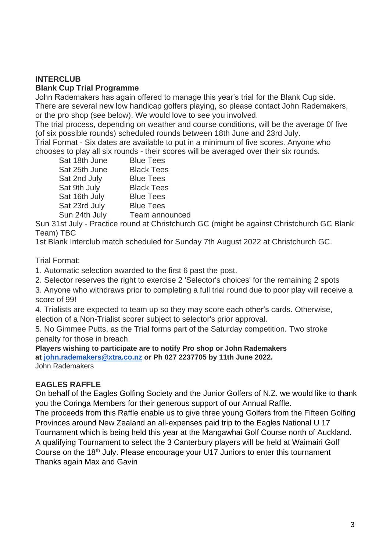# **INTERCLUB**

#### **Blank Cup Trial Programme**

John Rademakers has again offered to manage this year's trial for the Blank Cup side. There are several new low handicap golfers playing, so please contact John Rademakers, or the pro shop (see below). We would love to see you involved.

The trial process, depending on weather and course conditions, will be the average 0f five (of six possible rounds) scheduled rounds between 18th June and 23rd July.

Trial Format - Six dates are available to put in a minimum of five scores. Anyone who chooses to play all six rounds - their scores will be averaged over their six rounds.

| Sat 18th June | <b>Blue Tees</b>  |
|---------------|-------------------|
| Sat 25th June | <b>Black Tees</b> |
| Sat 2nd July  | <b>Blue Tees</b>  |
| Sat 9th July  | <b>Black Tees</b> |
| Sat 16th July | <b>Blue Tees</b>  |
| Sat 23rd July | <b>Blue Tees</b>  |
| Sun 24th July | Team announced    |

Sun 31st July - Practice round at Christchurch GC (might be against Christchurch GC Blank Team) TBC

1st Blank Interclub match scheduled for Sunday 7th August 2022 at Christchurch GC.

### Trial Format:

1. Automatic selection awarded to the first 6 past the post.

2. Selector reserves the right to exercise 2 'Selector's choices' for the remaining 2 spots

3. Anyone who withdraws prior to completing a full trial round due to poor play will receive a score of 99!

4. Trialists are expected to team up so they may score each other's cards. Otherwise, election of a Non-Trialist scorer subject to selector's prior approval.

5. No Gimmee Putts, as the Trial forms part of the Saturday competition. Two stroke penalty for those in breach.

#### **Players wishing to participate are to notify Pro shop or John Rademakers at [john.rademakers@xtra.co.nz](mailto:john.rademakers@xtra.co.nz) or Ph 027 2237705 by 11th June 2022.**

John Rademakers

## **EAGLES RAFFLE**

On behalf of the Eagles Golfing Society and the Junior Golfers of N.Z. we would like to thank you the Coringa Members for their generous support of our Annual Raffle.

The proceeds from this Raffle enable us to give three young Golfers from the Fifteen Golfing Provinces around New Zealand an all-expenses paid trip to the Eagles National U 17 Tournament which is being held this year at the Mangawhai Golf Course north of Auckland. A qualifying Tournament to select the 3 Canterbury players will be held at Waimairi Golf Course on the 18th July. Please encourage your U17 Juniors to enter this tournament Thanks again Max and Gavin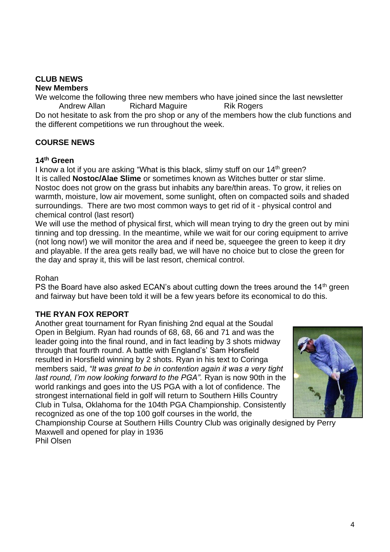# **CLUB NEWS**

#### **New Members**

We welcome the following three new members who have joined since the last newsletter Andrew Allan Richard Maguire Rik Rogers

Do not hesitate to ask from the pro shop or any of the members how the club functions and the different competitions we run throughout the week.

## **COURSE NEWS**

#### **14th Green**

I know a lot if you are asking "What is this black, slimy stuff on our 14<sup>th</sup> green? It is called **Nostoc/Alae Slime** or sometimes known as Witches butter or star slime. Nostoc does not grow on the grass but inhabits any bare/thin areas. To grow, it relies on warmth, moisture, low air movement, some sunlight, often on compacted soils and shaded surroundings. There are two most common ways to get rid of it - physical control and chemical control (last resort)

We will use the method of physical first, which will mean trying to dry the green out by mini tinning and top dressing. In the meantime, while we wait for our coring equipment to arrive (not long now!) we will monitor the area and if need be, squeegee the green to keep it dry and playable. If the area gets really bad, we will have no choice but to close the green for the day and spray it, this will be last resort, chemical control.

#### Rohan

PS the Board have also asked ECAN's about cutting down the trees around the 14<sup>th</sup> green and fairway but have been told it will be a few years before its economical to do this.

## **THE RYAN FOX REPORT**

Another great tournament for Ryan finishing 2nd equal at the Soudal Open in Belgium. Ryan had rounds of 68, 68, 66 and 71 and was the leader going into the final round, and in fact leading by 3 shots midway through that fourth round. A battle with England's' Sam Horsfield resulted in Horsfield winning by 2 shots. Ryan in his text to Coringa members said, *"It was great to be in contention again it was a very tight last round, I'm now looking forward to the PGA".* Ryan is now 90th in the world rankings and goes into the US PGA with a lot of confidence. The strongest international field in golf will return to Southern Hills Country Club in Tulsa, Oklahoma for the 104th PGA Championship. Consistently recognized as one of the top 100 golf courses in the world, the



Championship Course at Southern Hills Country Club was originally designed by Perry Maxwell and opened for play in 1936

Phil Olsen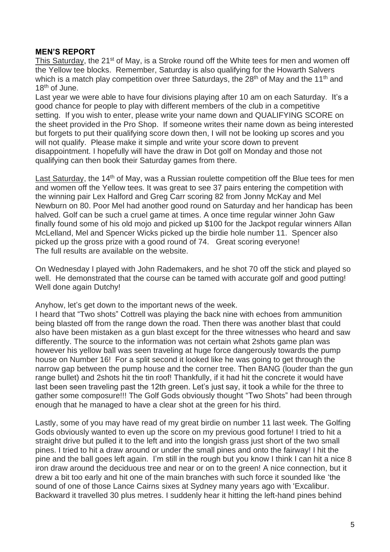#### **MEN'S REPORT**

This Saturday, the 21<sup>st</sup> of May, is a Stroke round off the White tees for men and women off the Yellow tee blocks. Remember, Saturday is also qualifying for the Howarth Salvers which is a match play competition over three Saturdays, the  $28<sup>th</sup>$  of May and the 11<sup>th</sup> and 18<sup>th</sup> of June.

Last year we were able to have four divisions playing after 10 am on each Saturday. It's a good chance for people to play with different members of the club in a competitive setting. If you wish to enter, please write your name down and QUALIFYING SCORE on the sheet provided in the Pro Shop. If someone writes their name down as being interested but forgets to put their qualifying score down then, I will not be looking up scores and you will not qualify. Please make it simple and write your score down to prevent disappointment. I hopefully will have the draw in Dot golf on Monday and those not qualifying can then book their Saturday games from there.

Last Saturday, the 14<sup>th</sup> of May, was a Russian roulette competition off the Blue tees for men and women off the Yellow tees. It was great to see 37 pairs entering the competition with the winning pair Lex Halford and Greg Carr scoring 82 from Jonny McKay and Mel Newburn on 80. Poor Mel had another good round on Saturday and her handicap has been halved. Golf can be such a cruel game at times. A once time regular winner John Gaw finally found some of his old mojo and picked up \$100 for the Jackpot regular winners Allan McLelland, Mel and Spencer Wicks picked up the birdie hole number 11. Spencer also picked up the gross prize with a good round of 74. Great scoring everyone! The full results are available on the website.

On Wednesday I played with John Rademakers, and he shot 70 off the stick and played so well. He demonstrated that the course can be tamed with accurate golf and good putting! Well done again Dutchy!

Anyhow, let's get down to the important news of the week.

I heard that "Two shots" Cottrell was playing the back nine with echoes from ammunition being blasted off from the range down the road. Then there was another blast that could also have been mistaken as a gun blast except for the three witnesses who heard and saw differently. The source to the information was not certain what 2shots game plan was however his yellow ball was seen traveling at huge force dangerously towards the pump house on Number 16! For a split second it looked like he was going to get through the narrow gap between the pump house and the corner tree. Then BANG (louder than the gun range bullet) and 2shots hit the tin roof! Thankfully, if it had hit the concrete it would have last been seen traveling past the 12th green. Let's just say, it took a while for the three to gather some composure!!! The Golf Gods obviously thought "Two Shots" had been through enough that he managed to have a clear shot at the green for his third.

Lastly, some of you may have read of my great birdie on number 11 last week. The Golfing Gods obviously wanted to even up the score on my previous good fortune! I tried to hit a straight drive but pulled it to the left and into the longish grass just short of the two small pines. I tried to hit a draw around or under the small pines and onto the fairway! I hit the pine and the ball goes left again. I'm still in the rough but you know I think I can hit a nice 8 iron draw around the deciduous tree and near or on to the green! A nice connection, but it drew a bit too early and hit one of the main branches with such force it sounded like 'the sound of one of those Lance Cairns sixes at Sydney many years ago with 'Excalibur. Backward it travelled 30 plus metres. I suddenly hear it hitting the left-hand pines behind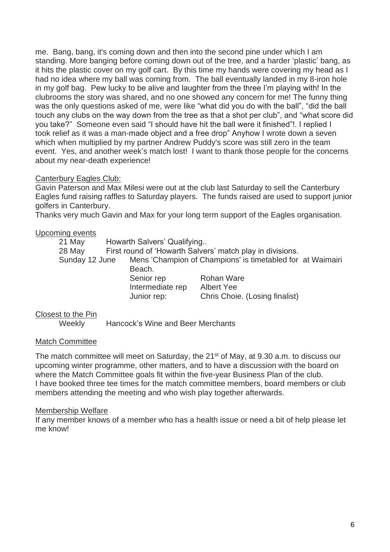me. Bang, bang, it's coming down and then into the second pine under which I am standing. More banging before coming down out of the tree, and a harder 'plastic' bang, as it hits the plastic cover on my golf cart. By this time my hands were covering my head as I had no idea where my ball was coming from. The ball eventually landed in my 8-iron hole in my golf bag. Pew lucky to be alive and laughter from the three I'm playing with! In the clubrooms the story was shared, and no one showed any concern for me! The funny thing was the only questions asked of me, were like "what did you do with the ball", "did the ball touch any clubs on the way down from the tree as that a shot per club", and "what score did you take?" Someone even said "I should have hit the ball were it finished"!. I replied I took relief as it was a man-made object and a free drop" Anyhow I wrote down a seven which when multiplied by my partner Andrew Puddy's score was still zero in the team event. Yes, and another week's match lost! I want to thank those people for the concerns about my near-death experience!

### Canterbury Eagles Club:

Gavin Paterson and Max Milesi were out at the club last Saturday to sell the Canterbury Eagles fund raising raffles to Saturday players. The funds raised are used to support junior golfers in Canterbury.

Thanks very much Gavin and Max for your long term support of the Eagles organisation.

#### Upcoming events

| 21 May         | Howarth Salvers' Qualifying |                                                            |  |
|----------------|-----------------------------|------------------------------------------------------------|--|
| 28 May         |                             | First round of 'Howarth Salvers' match play in divisions.  |  |
| Sunday 12 June |                             | Mens 'Champion of Champions' is timetabled for at Waimairi |  |
|                | Beach.                      |                                                            |  |
|                | Senior rep                  | Rohan Ware                                                 |  |
|                | Intermediate rep            | Albert Yee                                                 |  |
|                | Junior rep:                 | Chris Choie. (Losing finalist)                             |  |

#### Closest to the Pin

Weekly Hancock's Wine and Beer Merchants

#### Match Committee

The match committee will meet on Saturday, the 21<sup>st</sup> of May, at 9.30 a.m. to discuss our upcoming winter programme, other matters, and to have a discussion with the board on where the Match Committee goals fit within the five-year Business Plan of the club. I have booked three tee times for the match committee members, board members or club members attending the meeting and who wish play together afterwards.

#### Membership Welfare

If any member knows of a member who has a health issue or need a bit of help please let me know!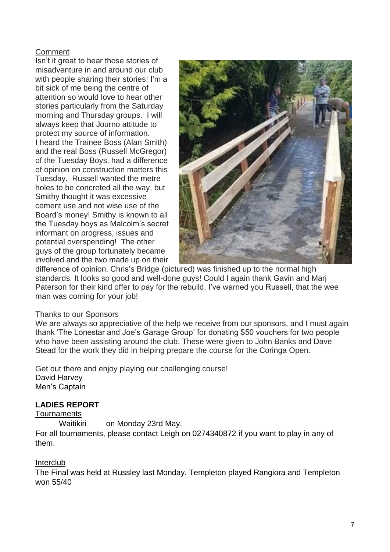## **Comment**

Isn't it great to hear those stories of misadventure in and around our club with people sharing their stories! I'm a bit sick of me being the centre of attention so would love to hear other stories particularly from the Saturday morning and Thursday groups. I will always keep that Journo attitude to protect my source of information. I heard the Trainee Boss (Alan Smith) and the real Boss (Russell McGregor) of the Tuesday Boys, had a difference of opinion on construction matters this Tuesday. Russell wanted the metre holes to be concreted all the way, but Smithy thought it was excessive cement use and not wise use of the Board's money! Smithy is known to all the Tuesday boys as Malcolm's secret informant on progress, issues and potential overspending! The other guys of the group fortunately became involved and the two made up on their



difference of opinion. Chris's Bridge (pictured) was finished up to the normal high standards. It looks so good and well-done guys! Could I again thank Gavin and Marj Paterson for their kind offer to pay for the rebuild. I've warned you Russell, that the wee man was coming for your job!

#### Thanks to our Sponsors

We are always so appreciative of the help we receive from our sponsors, and I must again thank 'The Lonestar and Joe's Garage Group' for donating \$50 vouchers for two people who have been assisting around the club. These were given to John Banks and Dave Stead for the work they did in helping prepare the course for the Coringa Open.

Get out there and enjoy playing our challenging course! David Harvey Men's Captain

## **LADIES REPORT**

#### **Tournaments**

Waitikiri on Monday 23rd May.

For all tournaments, please contact Leigh on 0274340872 if you want to play in any of them.

## Interclub

The Final was held at Russley last Monday. Templeton played Rangiora and Templeton won 55/40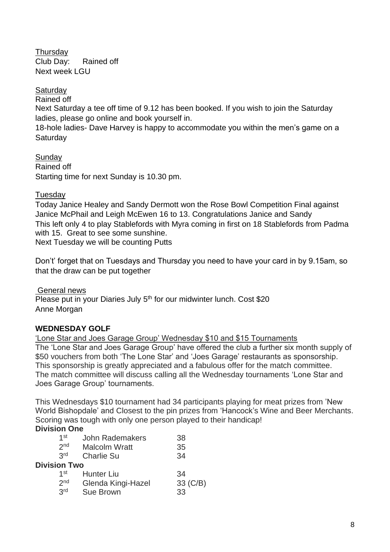**Thursday** Club Day: Rained off Next week LGU

**Saturdav** 

Rained off

Next Saturday a tee off time of 9.12 has been booked. If you wish to join the Saturday ladies, please go online and book yourself in.

18-hole ladies- Dave Harvey is happy to accommodate you within the men's game on a **Saturday** 

**Sundav** Rained off Starting time for next Sunday is 10.30 pm.

## Tuesday

Today Janice Healey and Sandy Dermott won the Rose Bowl Competition Final against Janice McPhail and Leigh McEwen 16 to 13. Congratulations Janice and Sandy This left only 4 to play Stablefords with Myra coming in first on 18 Stablefords from Padma with 15. Great to see some sunshine. Next Tuesday we will be counting Putts

Don't' forget that on Tuesdays and Thursday you need to have your card in by 9.15am, so that the draw can be put together

General news Please put in your Diaries July 5<sup>th</sup> for our midwinter lunch. Cost \$20 Anne Morgan

## **WEDNESDAY GOLF**

'Lone Star and Joes Garage Group' Wednesday \$10 and \$15 Tournaments The 'Lone Star and Joes Garage Group' have offered the club a further six month supply of \$50 vouchers from both 'The Lone Star' and 'Joes Garage' restaurants as sponsorship. This sponsorship is greatly appreciated and a fabulous offer for the match committee. The match committee will discuss calling all the Wednesday tournaments 'Lone Star and Joes Garage Group' tournaments.

This Wednesdays \$10 tournament had 34 participants playing for meat prizes from 'New World Bishopdale' and Closest to the pin prizes from 'Hancock's Wine and Beer Merchants. Scoring was tough with only one person played to their handicap!

## **Division One**

| $1$ st              | <b>John Rademakers</b> | 38       |
|---------------------|------------------------|----------|
| 2 <sub>nd</sub>     | <b>Malcolm Wratt</b>   | 35       |
| 2 <sub>rd</sub>     | <b>Charlie Su</b>      | 34       |
| <b>Division Two</b> |                        |          |
| 1st                 | <b>Hunter Liu</b>      | 34       |
| 2 <sub>nd</sub>     | Glenda Kingi-Hazel     | 33 (C/B) |
| 3rd                 | <b>Sue Brown</b>       | 33       |